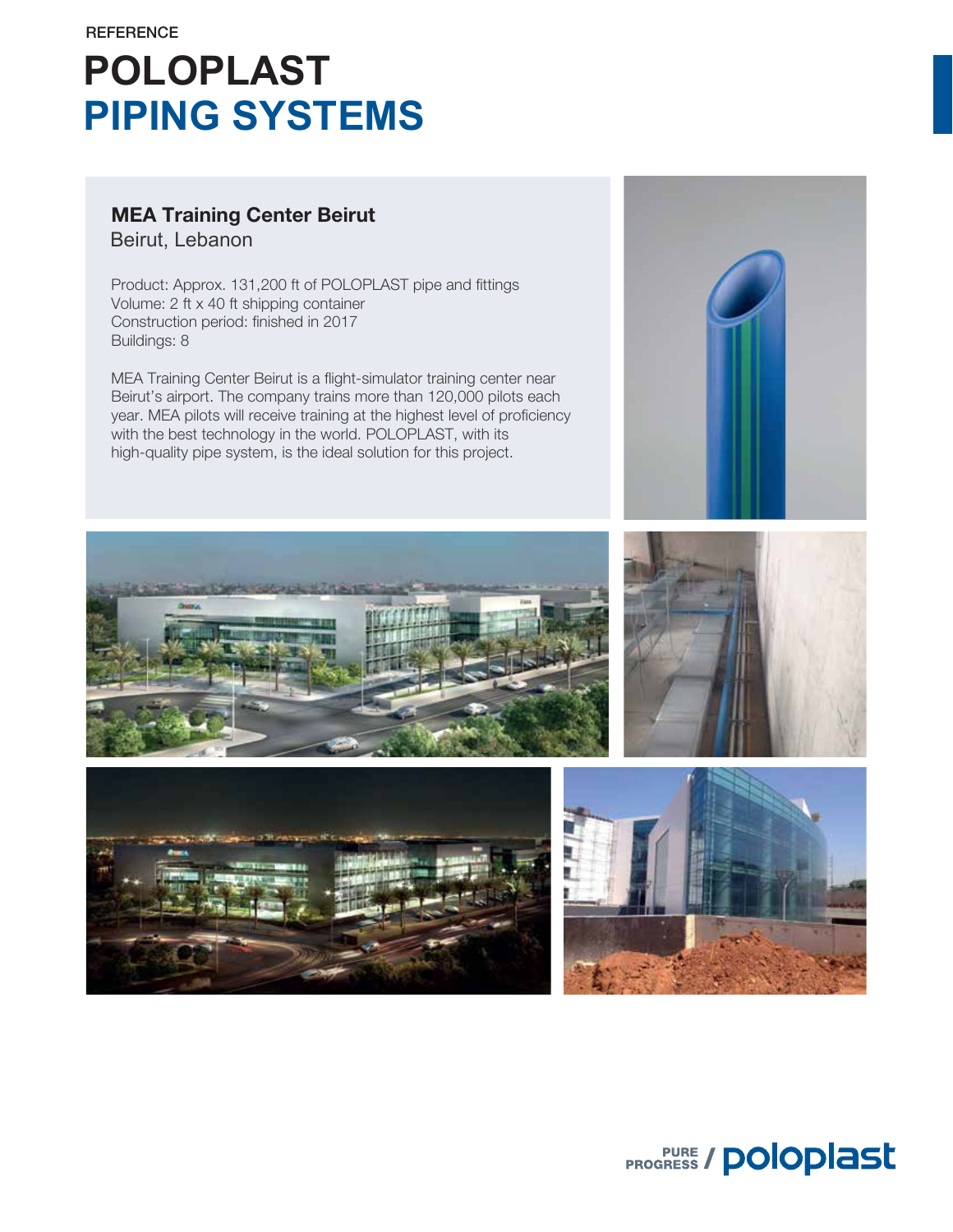# **POLOPLAST PIPING SYSTEMS**

### Beirut, Lebanon MEA Training Center Beirut

Product: Approx. 131,200 ft of POLOPLAST pipe and fittings Volume: 2 ft x 40 ft shipping container Construction period: finished in 2017 Buildings: 8

MEA Training Center Beirut is a flight-simulator training center near Beirut's airport. The company trains more than 120,000 pilots each year. MEA pilots will receive training at the highest level of proficiency with the best technology in the world. POLOPLAST, with its high-quality pipe system, is the ideal solution for this project.







**PROGRESS / POloplast**